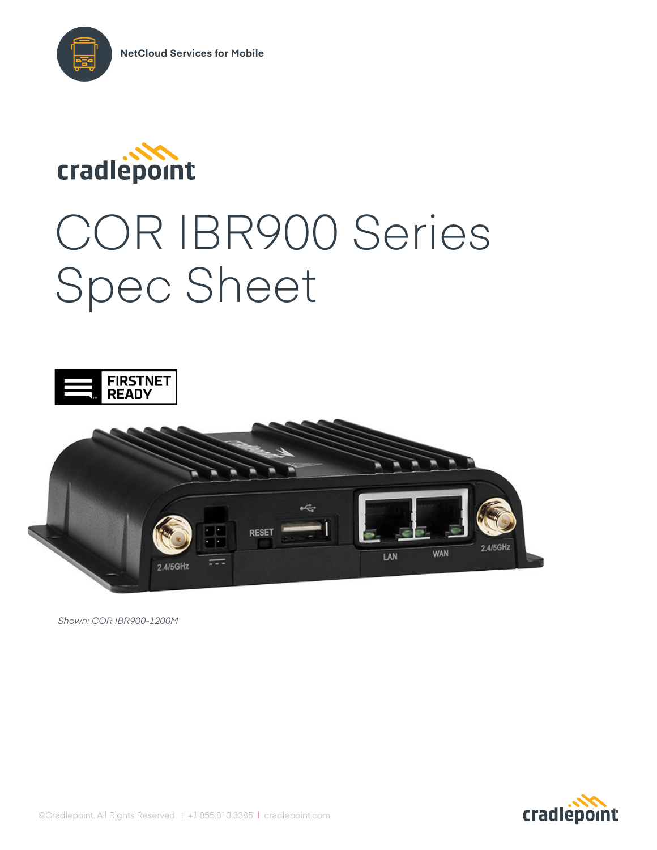



# COR IBR900 Series Spec Sheet





*Shown: COR IBR900-1200M*

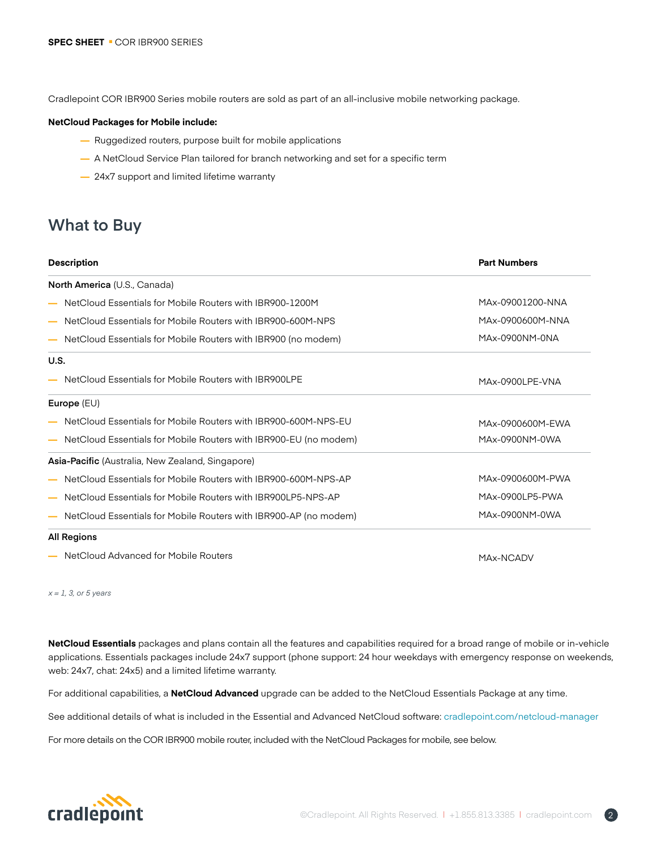Cradlepoint COR IBR900 Series mobile routers are sold as part of an all-inclusive mobile networking package.

### **NetCloud Packages for Mobile include:**

- **—** Ruggedized routers, purpose built for mobile applications
- **—** A NetCloud Service Plan tailored for branch networking and set for a specific term
- **—** 24x7 support and limited lifetime warranty

### **What to Buy**

| <b>Description</b>                                                                      | <b>Part Numbers</b> |
|-----------------------------------------------------------------------------------------|---------------------|
| North America (U.S., Canada)                                                            |                     |
| NetCloud Essentials for Mobile Routers with IBR900-1200M                                | MAx-09001200-NNA    |
| NetCloud Essentials for Mobile Routers with IBR900-600M-NPS<br>$\overline{\phantom{0}}$ | MAx-0900600M-NNA    |
| NetCloud Essentials for Mobile Routers with IBR900 (no modem)                           | MAx-0900NM-0NA      |
| U.S.                                                                                    |                     |
| NetCloud Essentials for Mobile Routers with IBR900LPE                                   | MAx-0900LPE-VNA     |
| Europe $(EU)$                                                                           |                     |
| NetCloud Essentials for Mobile Routers with IBR900-600M-NPS-EU                          | MAx-0900600M-EWA    |
| NetCloud Essentials for Mobile Routers with IBR900-EU (no modem)                        | MAx-0900NM-0WA      |
| <b>Asia-Pacific</b> (Australia, New Zealand, Singapore)                                 |                     |
| NetCloud Essentials for Mobile Routers with IBR900-600M-NPS-AP                          | MAx-0900600M-PWA    |
| NetCloud Essentials for Mobile Routers with IBR900LP5-NPS-AP                            | MAx-0900LP5-PWA     |
| NetCloud Essentials for Mobile Routers with IBR900-AP (no modem)                        | MAx-0900NM-0WA      |
| <b>All Regions</b>                                                                      |                     |
| NetCloud Advanced for Mobile Routers                                                    | MAx-NCADV           |

*x = 1, 3, or 5 years*

**NetCloud Essentials** packages and plans contain all the features and capabilities required for a broad range of mobile or in-vehicle applications. Essentials packages include 24x7 support (phone support: 24 hour weekdays with emergency response on weekends, web: 24x7, chat: 24x5) and a limited lifetime warranty.

For additional capabilities, a **NetCloud Advanced** upgrade can be added to the NetCloud Essentials Package at any time.

See additional details of what is included in the Essential and Advanced NetCloud software: [cradlepoint.com/netc](https://cradlepoint.com/netcloud-manager)loud-manager

For more details on the COR IBR900 mobile router, included with the NetCloud Packages for mobile, see below.

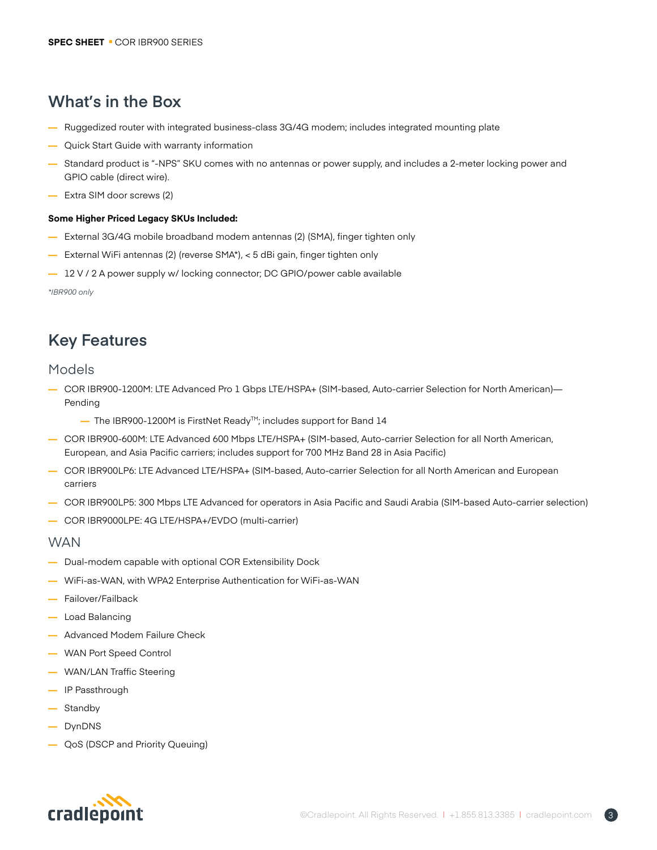# **What's in the Box**

- **—** Ruggedized router with integrated business-class 3G/4G modem; includes integrated mounting plate
- **—** Quick Start Guide with warranty information
- **—** Standard product is "-NPS" SKU comes with no antennas or power supply, and includes a 2-meter locking power and GPIO cable (direct wire).
- **—** Extra SIM door screws (2)

### **Some Higher Priced Legacy SKUs Included:**

- **—** External 3G/4G mobile broadband modem antennas (2) (SMA), finger tighten only
- **—** External WiFi antennas (2) (reverse SMA\*), < 5 dBi gain, finger tighten only
- **—** 12 V / 2 A power supply w/ locking connector; DC GPIO/power cable available

*\*IBR900 only*

# **Key Features**

### Models

- **—** COR IBR900-1200M: LTE Advanced Pro 1 Gbps LTE/HSPA+ (SIM-based, Auto-carrier Selection for North American)— Pending
	- **—** The IBR900-1200M is FirstNet ReadyTM; includes support for Band 14
- **—** COR IBR900-600M: LTE Advanced 600 Mbps LTE/HSPA+ (SIM-based, Auto-carrier Selection for all North American, European, and Asia Pacific carriers; includes support for 700 MHz Band 28 in Asia Pacific)
- **—** COR IBR900LP6: LTE Advanced LTE/HSPA+ (SIM-based, Auto-carrier Selection for all North American and European carriers
- **—** COR IBR900LP5: 300 Mbps LTE Advanced for operators in Asia Pacific and Saudi Arabia (SIM-based Auto-carrier selection)
- **—** COR IBR9000LPE: 4G LTE/HSPA+/EVDO (multi-carrier)

### **WAN**

- **—** Dual-modem capable with optional COR Extensibility Dock
- **—** WiFi-as-WAN, with WPA2 Enterprise Authentication for WiFi-as-WAN
- **—** Failover/Failback
- **—** Load Balancing
- **—** Advanced Modem Failure Check
- **—** WAN Port Speed Control
- **—** WAN/LAN Traffic Steering
- **—** IP Passthrough
- **—** Standby
- **—** DynDNS
- **—** QoS (DSCP and Priority Queuing)

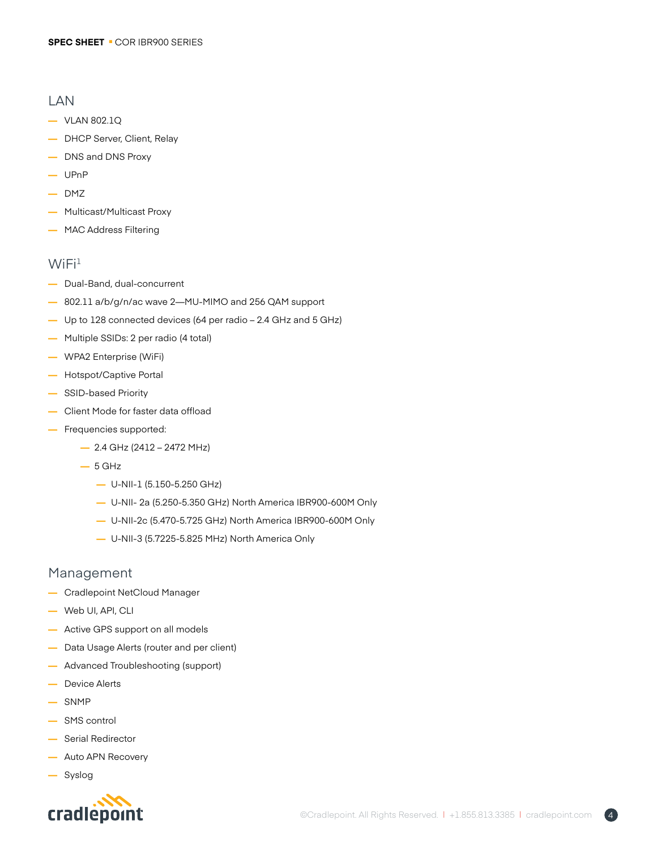### LAN

- **—** VLAN 802.1Q
- **—** DHCP Server, Client, Relay
- **—** DNS and DNS Proxy
- **—** UPnP
- **—** DMZ
- **—** Multicast/Multicast Proxy
- **—** MAC Address Filtering

### $WiFi<sup>1</sup>$

- **—** Dual-Band, dual-concurrent
- **—** 802.11 a/b/g/n/ac wave 2—MU-MIMO and 256 QAM support
- **—** Up to 128 connected devices (64 per radio 2.4 GHz and 5 GHz)
- **—** Multiple SSIDs: 2 per radio (4 total)
- **—** WPA2 Enterprise (WiFi)
- **—** Hotspot/Captive Portal
- **—** SSID-based Priority
- **—** Client Mode for faster data offload
- **—** Frequencies supported:
	- **—** 2.4 GHz (2412 2472 MHz)
	- **—** 5 GHz
		- **—** U-NII-1 (5.150-5.250 GHz)
		- **—** U-NII- 2a (5.250-5.350 GHz) North America IBR900-600M Only
		- **—** U-NII-2c (5.470-5.725 GHz) North America IBR900-600M Only
		- **—** U-NII-3 (5.7225-5.825 MHz) North America Only

### Management

- **—** Cradlepoint NetCloud Manager
- **—** Web UI, API, CLI
- **—** Active GPS support on all models
- **—** Data Usage Alerts (router and per client)
- **—** Advanced Troubleshooting (support)
- **—** Device Alerts
- **—** SNMP
- **—** SMS control
- **—** Serial Redirector
- **—** Auto APN Recovery
- **—** Syslog

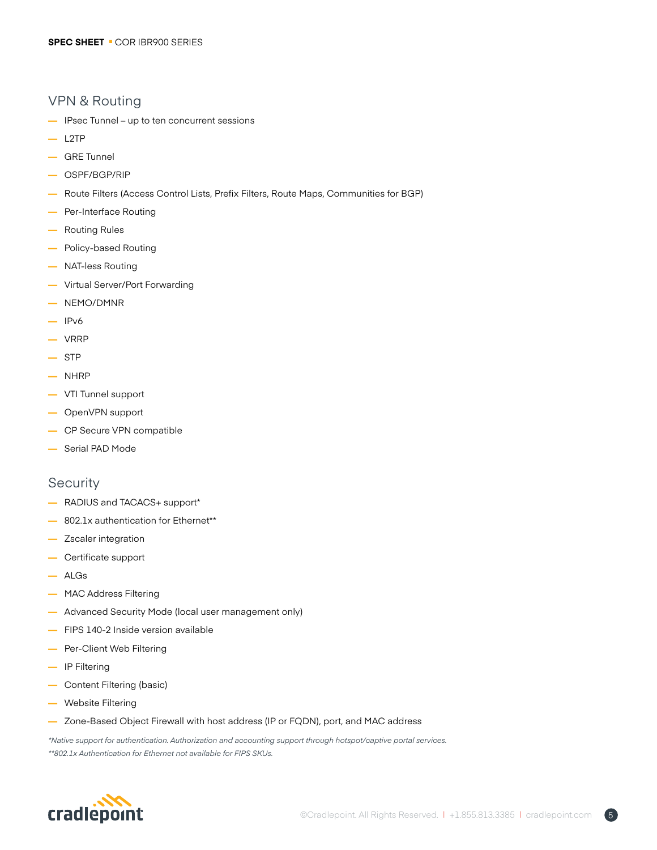### VPN & Routing

- **—** IPsec Tunnel up to ten concurrent sessions
- **—** L2TP
- **—** GRE Tunnel
- **—** OSPF/BGP/RIP
- **—** Route Filters (Access Control Lists, Prefix Filters, Route Maps, Communities for BGP)
- **—** Per-Interface Routing
- **—** Routing Rules
- **—** Policy-based Routing
- **—** NAT-less Routing
- **—** Virtual Server/Port Forwarding
- **—** NEMO/DMNR
- **—** IPv6
- **—** VRRP
- **—** STP
- **—** NHRP
- **—** VTI Tunnel support
- **—** OpenVPN support
- **—** CP Secure VPN compatible
- **—** Serial PAD Mode

### **Security**

- **—** RADIUS and TACACS+ support\*
- **—** 802.1x authentication for Ethernet\*\*
- **—** Zscaler integration
- **—** Certificate support
- **—** ALGs
- **—** MAC Address Filtering
- **—** Advanced Security Mode (local user management only)
- **—** FIPS 140-2 Inside version available
- **—** Per-Client Web Filtering
- **—** IP Filtering
- **—** Content Filtering (basic)
- **—** Website Filtering
- **—** Zone-Based Object Firewall with host address (IP or FQDN), port, and MAC address

*\*Native support for authentication. Authorization and accounting support through hotspot/captive portal services. \*\*802.1x Authentication for Ethernet not available for FIPS SKUs.*

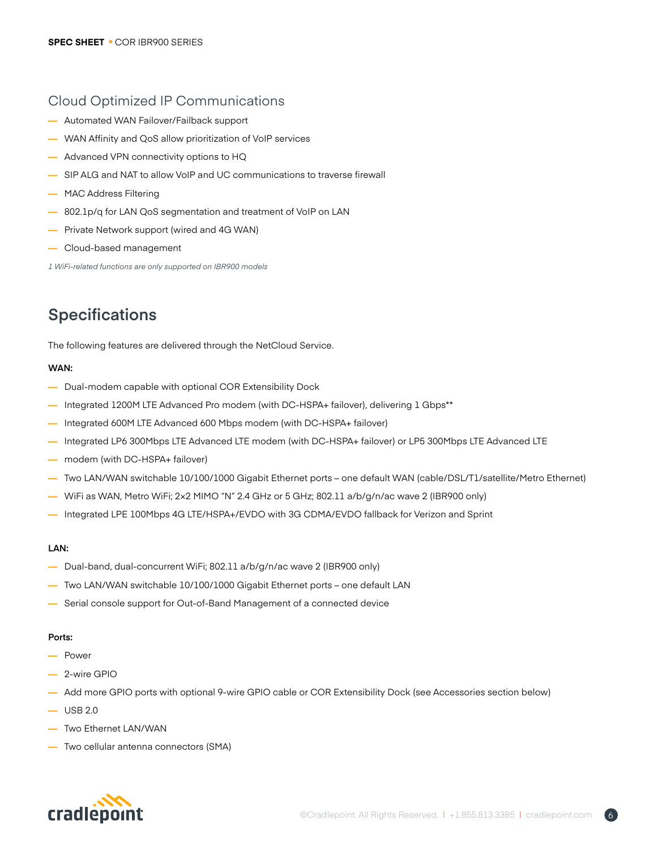### Cloud Optimized IP Communications

- **—** Automated WAN Failover/Failback support
- **—** WAN Affinity and QoS allow prioritization of VoIP services
- **—** Advanced VPN connectivity options to HQ
- **—** SIP ALG and NAT to allow VoIP and UC communications to traverse firewall
- **—** MAC Address Filtering
- **—** 802.1p/q for LAN QoS segmentation and treatment of VoIP on LAN
- **—** Private Network support (wired and 4G WAN)
- **—** Cloud-based management

*1 WiFi-related functions are only supported on IBR900 models*

# **Specifications**

The following features are delivered through the NetCloud Service.

### **WAN:**

- **—** Dual-modem capable with optional COR Extensibility Dock
- **—** Integrated 1200M LTE Advanced Pro modem (with DC-HSPA+ failover), delivering 1 Gbps\*\*
- **—** Integrated 600M LTE Advanced 600 Mbps modem (with DC-HSPA+ failover)
- **—** Integrated LP6 300Mbps LTE Advanced LTE modem (with DC-HSPA+ failover) or LP5 300Mbps LTE Advanced LTE
- **—** modem (with DC-HSPA+ failover)
- **—** Two LAN/WAN switchable 10/100/1000 Gigabit Ethernet ports one default WAN (cable/DSL/T1/satellite/Metro Ethernet)
- **—** WiFi as WAN, Metro WiFi; 2×2 MIMO "N" 2.4 GHz or 5 GHz; 802.11 a/b/g/n/ac wave 2 (IBR900 only)
- **—** Integrated LPE 100Mbps 4G LTE/HSPA+/EVDO with 3G CDMA/EVDO fallback for Verizon and Sprint

### **LAN:**

- **—** Dual-band, dual-concurrent WiFi; 802.11 a/b/g/n/ac wave 2 (IBR900 only)
- **—** Two LAN/WAN switchable 10/100/1000 Gigabit Ethernet ports one default LAN
- **—** Serial console support for Out-of-Band Management of a connected device

### **Ports:**

- **—** Power
- **—** 2-wire GPIO
- **—** Add more GPIO ports with optional 9-wire GPIO cable or COR Extensibility Dock (see Accessories section below)
- **—** USB 2.0
- **—** Two Ethernet LAN/WAN
- **—** Two cellular antenna connectors (SMA)

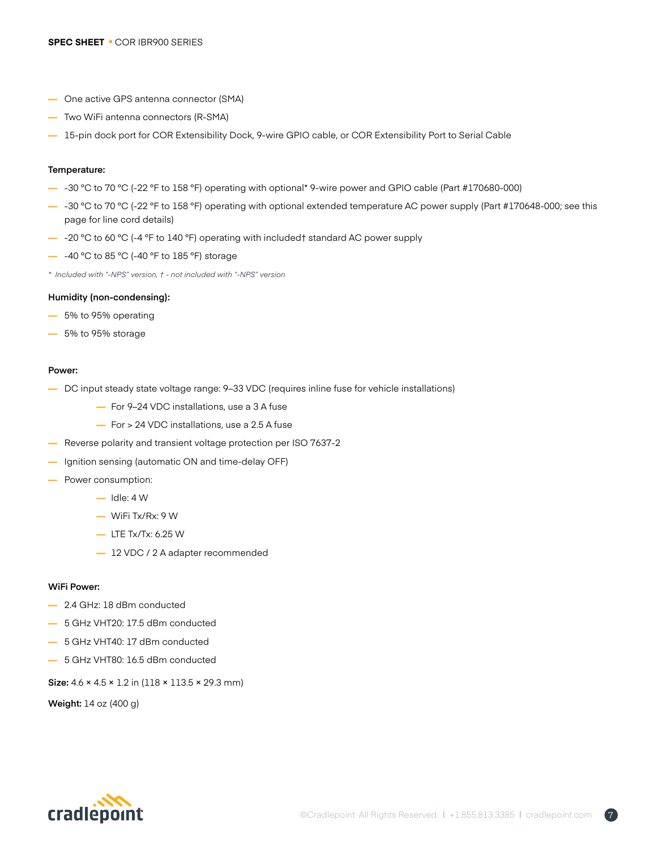- **—** One active GPS antenna connector (SMA)
- **—** Two WiFi antenna connectors (R-SMA)
- **—** 15-pin dock port for COR Extensibility Dock, 9-wire GPIO cable, or COR Extensibility Port to Serial Cable

### **Temperature:**

- **—** -30 °C to 70 °C (-22 °F to 158 °F) operating with optional\* 9-wire power and GPIO cable (Part #170680-000)
- **—** -30 °C to 70 °C (-22 °F to 158 °F) operating with optional extended temperature AC power supply (Part #170648-000; see this page for line cord details)
- **—** -20 °C to 60 °C (-4 °F to 140 °F) operating with included† standard AC power supply
- **—** -40 °C to 85 °C (-40 °F to 185 °F) storage
- *\* Included with "-NPS" version, † not included with "-NPS" version*

#### **Humidity (non-condensing):**

- **—** 5% to 95% operating
- **—** 5% to 95% storage

#### **Power:**

- **—** DC input steady state voltage range: 9–33 VDC (requires inline fuse for vehicle installations)
	- **—** For 9–24 VDC installations, use a 3 A fuse
	- **—** For > 24 VDC installations, use a 2.5 A fuse
- **—** Reverse polarity and transient voltage protection per ISO 7637-2
- **—** Ignition sensing (automatic ON and time-delay OFF)
- **—** Power consumption:
	- **—** Idle: 4 W
	- **—** WiFi Tx/Rx: 9 W
	- **—** LTE Tx/Tx: 6.25 W
	- **—** 12 VDC / 2 A adapter recommended

#### **WiFi Power:**

- **—** 2.4 GHz: 18 dBm conducted
- **—** 5 GHz VHT20: 17.5 dBm conducted
- **—** 5 GHz VHT40: 17 dBm conducted
- **—** 5 GHz VHT80: 16.5 dBm conducted

**Size:** 4.6 × 4.5 × 1.2 in (118 × 113.5 × 29.3 mm)

**Weight:** 14 oz (400 g)

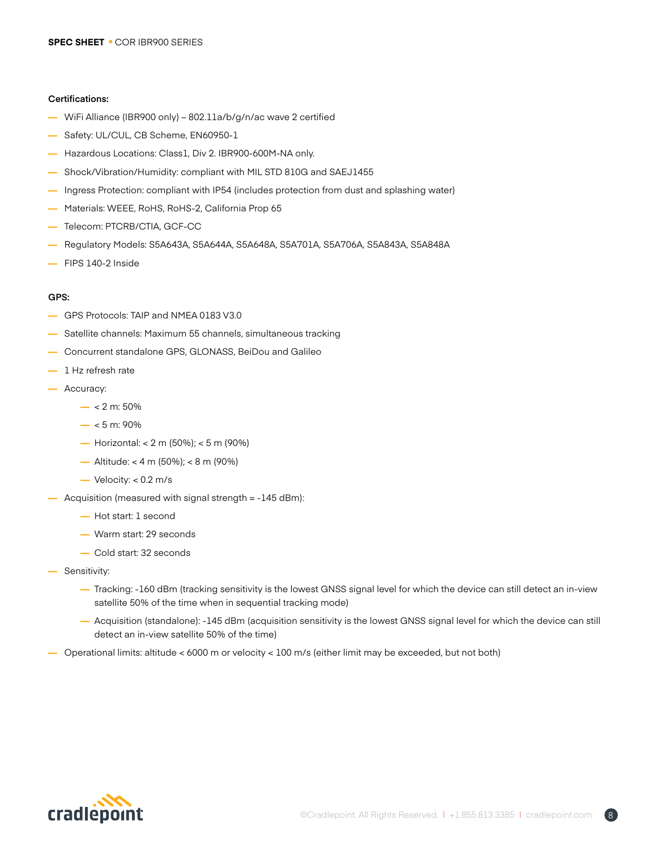### **Certifications:**

- **—** WiFi Alliance (IBR900 only) 802.11a/b/g/n/ac wave 2 certified
- **—** Safety: UL/CUL, CB Scheme, EN60950-1
- **—** Hazardous Locations: Class1, Div 2. IBR900-600M-NA only.
- **—** Shock/Vibration/Humidity: compliant with MIL STD 810G and SAEJ1455
- **—** Ingress Protection: compliant with IP54 (includes protection from dust and splashing water)
- **—** Materials: WEEE, RoHS, RoHS-2, California Prop 65
- **—** Telecom: PTCRB/CTIA, GCF-CC
- **—** Regulatory Models: S5A643A, S5A644A, S5A648A, S5A701A, S5A706A, S5A843A, S5A848A
- **—** FIPS 140-2 Inside

### **GPS:**

- **—** GPS Protocols: TAIP and NMEA 0183 V3.0
- **—** Satellite channels: Maximum 55 channels, simultaneous tracking
- **—** Concurrent standalone GPS, GLONASS, BeiDou and Galileo
- **—** 1 Hz refresh rate
- **—** Accuracy:
	- **—** < 2 m: 50%
	- **—** < 5 m: 90%
	- **—** Horizontal: < 2 m (50%); < 5 m (90%)
	- **—** Altitude: < 4 m (50%); < 8 m (90%)
	- **—** Velocity: < 0.2 m/s
- **—** Acquisition (measured with signal strength = -145 dBm):
	- **—** Hot start: 1 second
	- **—** Warm start: 29 seconds
	- **—** Cold start: 32 seconds
- **—** Sensitivity:
	- **—** Tracking: -160 dBm (tracking sensitivity is the lowest GNSS signal level for which the device can still detect an in-view satellite 50% of the time when in sequential tracking mode)
	- **—** Acquisition (standalone): -145 dBm (acquisition sensitivity is the lowest GNSS signal level for which the device can still detect an in-view satellite 50% of the time)
- **—** Operational limits: altitude < 6000 m or velocity < 100 m/s (either limit may be exceeded, but not both)

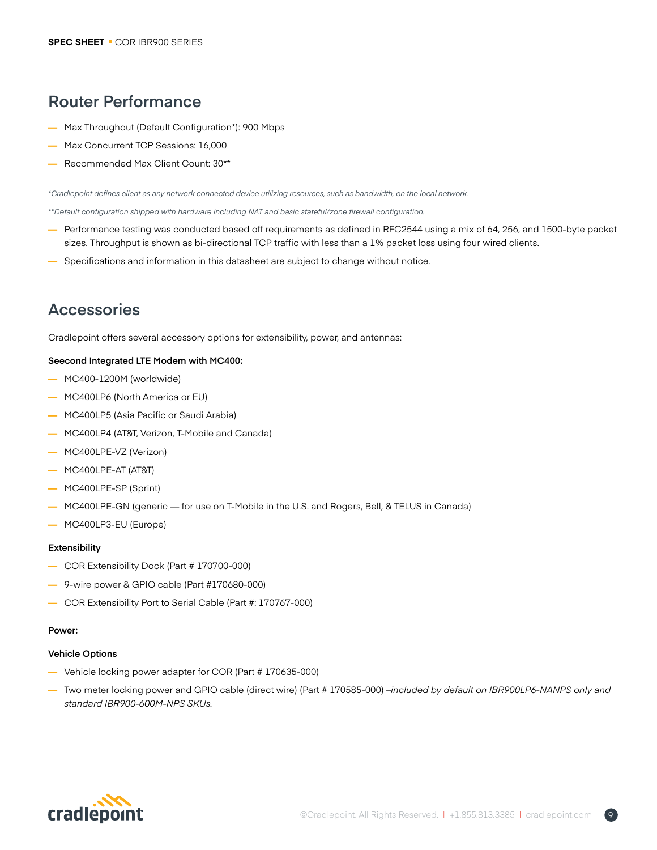# **Router Performance**

- **—** Max Throughout (Default Configuration\*): 900 Mbps
- **—** Max Concurrent TCP Sessions: 16,000
- **—** Recommended Max Client Count: 30\*\*

*\*Cradlepoint defines client as any network connected device utilizing resources, such as bandwidth, on the local network.*

*\*\*Default configuration shipped with hardware including NAT and basic stateful/zone firewall configuration.*

- **—** Performance testing was conducted based off requirements as defined in RFC2544 using a mix of 64, 256, and 1500-byte packet sizes. Throughput is shown as bi-directional TCP traffic with less than a 1% packet loss using four wired clients.
- **—** Specifications and information in this datasheet are subject to change without notice.

# **Accessories**

Cradlepoint offers several accessory options for extensibility, power, and antennas:

### **Seecond Integrated LTE Modem with MC400:**

- **—** MC400-1200M (worldwide)
- **—** MC400LP6 (North America or EU)
- **—** MC400LP5 (Asia Pacific or Saudi Arabia)
- **—** MC400LP4 (AT&T, Verizon, T-Mobile and Canada)
- **—** MC400LPE-VZ (Verizon)
- **—** MC400LPE-AT (AT&T)
- **—** MC400LPE-SP (Sprint)
- **—** MC400LPE-GN (generic for use on T-Mobile in the U.S. and Rogers, Bell, & TELUS in Canada)
- **—** MC400LP3-EU (Europe)

#### **Extensibility**

- **—** COR Extensibility Dock (Part # 170700-000)
- **—** 9-wire power & GPIO cable (Part #170680-000)
- **—** COR Extensibility Port to Serial Cable (Part #: 170767-000)

### **Power:**

### **Vehicle Options**

- **—** Vehicle locking power adapter for COR (Part # 170635-000)
- **—** Two meter locking power and GPIO cable (direct wire) (Part # 170585-000) *–included by default on IBR900LP6-NANPS only and standard IBR900-600M-NPS SKUs.*

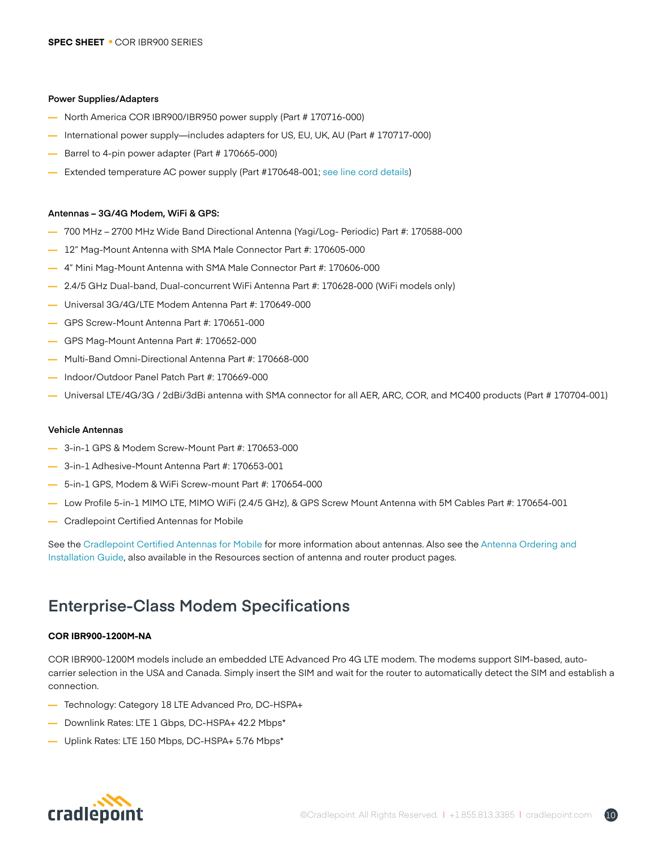#### **Power Supplies/Adapters**

- **—** North America COR IBR900/IBR950 power supply (Part # 170716-000)
- International power supply—includes adapters for US, EU, UK, AU (Part # 170717-000)
- **—** Barrel to 4-pin power adapter (Part # 170665-000)
- **—** Extended temperature AC power supply (Part #170648-001; [see line cord details](https://cradlepoint.com/products/cor-extended-temperature-power-adapter-line-cord))

#### **Antennas – 3G/4G Modem, WiFi & GPS:**

- **—** 700 MHz 2700 MHz Wide Band Directional Antenna (Yagi/Log- Periodic) Part #: 170588-000
- **—** 12" Mag-Mount Antenna with SMA Male Connector Part #: 170605-000
- **—** 4" Mini Mag-Mount Antenna with SMA Male Connector Part #: 170606-000
- **—** 2.4/5 GHz Dual-band, Dual-concurrent WiFi Antenna Part #: 170628-000 (WiFi models only)
- **—** Universal 3G/4G/LTE Modem Antenna Part #: 170649-000
- **—** GPS Screw-Mount Antenna Part #: 170651-000
- **—** GPS Mag-Mount Antenna Part #: 170652-000
- **—** Multi-Band Omni-Directional Antenna Part #: 170668-000
- **—** Indoor/Outdoor Panel Patch Part #: 170669-000
- **—** Universal LTE/4G/3G / 2dBi/3dBi antenna with SMA connector for all AER, ARC, COR, and MC400 products (Part # 170704-001)

#### **Vehicle Antennas**

- **—** 3-in-1 GPS & Modem Screw-Mount Part #: 170653-000
- **—** 3-in-1 Adhesive-Mount Antenna Part #: 170653-001
- **—** 5-in-1 GPS, Modem & WiFi Screw-mount Part #: 170654-000
- **—** Low Profile 5-in-1 MIMO LTE, MIMO WiFi (2.4/5 GHz), & GPS Screw Mount Antenna with 5M Cables Part #: 170654-001
- **—** [Cradlepoint Certified Antennas for Mobile](https://cradlepoint.com/products/cradlepoint-certified-antennas-mobile)

See the [Cradlepoint Certified Antennas for Mobile f](https://cradlepoint.com/products/cradlepoint-certified-antennas-mobile)or more information about antennas. Also see the [Antenna Ordering and](https://cradlepoint.com/content/antenna-ordering-and-installation-guide)  [Installation Guide](https://cradlepoint.com/content/antenna-ordering-and-installation-guide), also available in the Resources section of antenna and router product pages.

### **Enterprise-Class Modem Specifications**

### **COR IBR900-1200M-NA**

COR IBR900-1200M models include an embedded LTE Advanced Pro 4G LTE modem. The modems support SIM-based, autocarrier selection in the USA and Canada. Simply insert the SIM and wait for the router to automatically detect the SIM and establish a connection.

- **—** Technology: Category 18 LTE Advanced Pro, DC-HSPA+
- **—** Downlink Rates: LTE 1 Gbps, DC-HSPA+ 42.2 Mbps\*
- **—** Uplink Rates: LTE 150 Mbps, DC-HSPA+ 5.76 Mbps\*

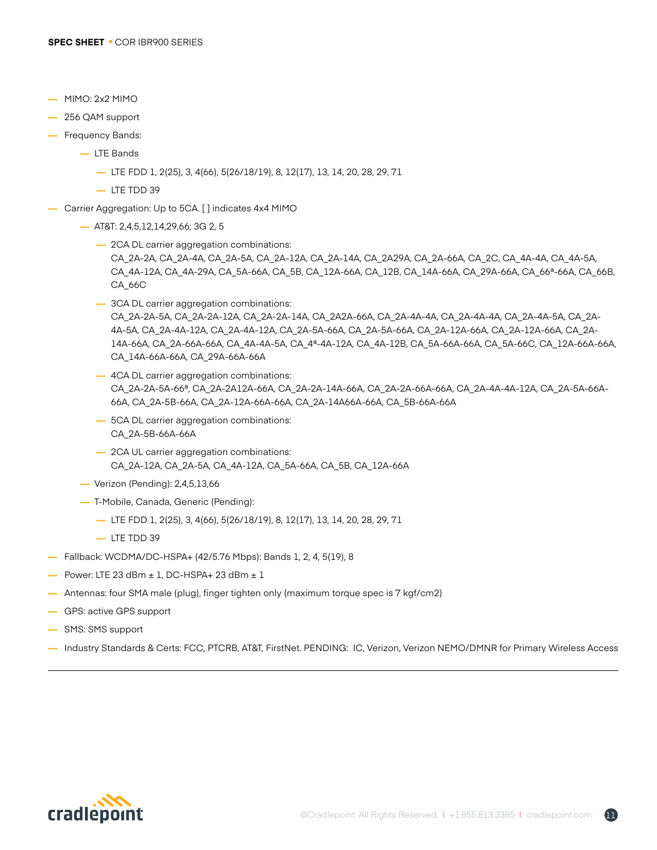- **—** MIMO: 2x2 MIMO
- **—** 256 QAM support
- **—** Frequency Bands:
	- **—** LTE Bands
		- **—** LTE FDD 1, 2(25), 3, 4(66), 5(26/18/19), 8, 12(17), 13, 14, 20, 28, 29, 71
		- **—** LTE TDD 39
- **—** Carrier Aggregation: Up to 5CA. [ ] indicates 4x4 MIMO
	- **—** AT&T: 2,4,5,12,14,29,66; 3G 2, 5
		- **—** 2CA DL carrier aggregation combinations: CA\_2A-2A, CA\_2A-4A, CA\_2A-5A, CA\_2A-12A, CA\_2A-14A, CA\_2A29A, CA\_2A-66A, CA\_2C, CA\_4A-4A, CA\_4A-5A, CA\_4A-12A, CA\_4A-29A, CA\_5A-66A, CA\_5B, CA\_12A-66A, CA\_12B, CA\_14A-66A, CA\_29A-66A, CA\_66ª-66A, CA\_66B, CA\_66C
		- **—** 3CA DL carrier aggregation combinations: CA\_2A-2A-5A, CA\_2A-2A-12A, CA\_2A-2A-14A, CA\_2A2A-66A, CA\_2A-4A-4A, CA\_2A-4A-4A, CA\_2A-4A-5A, CA\_2A-4A-5A, CA\_2A-4A-12A, CA\_2A-4A-12A, CA\_2A-5A-66A, CA\_2A-5A-66A, CA\_2A-12A-66A, CA\_2A-12A-66A, CA\_2A-14A-66A, CA\_2A-66A-66A, CA\_4A-4A-5A, CA\_4ª-4A-12A, CA\_4A-12B, CA\_5A-66A-66A, CA\_5A-66C, CA\_12A-66A-66A, CA\_14A-66A-66A, CA\_29A-66A-66A
		- **—** 4CA DL carrier aggregation combinations: CA\_2A-2A-5A-66ª, CA\_2A-2A12A-66A, CA\_2A-2A-14A-66A, CA\_2A-2A-66A-66A, CA\_2A-4A-4A-12A, CA\_2A-5A-66A-66A, CA\_2A-5B-66A, CA\_2A-12A-66A-66A, CA\_2A-14A66A-66A, CA\_5B-66A-66A
		- **—** 5CA DL carrier aggregation combinations: CA\_2A-5B-66A-66A
		- **—** 2CA UL carrier aggregation combinations: CA\_2A-12A, CA\_2A-5A, CA\_4A-12A, CA\_5A-66A, CA\_5B, CA\_12A-66A
	- **—** Verizon (Pending): 2,4,5,13,66
	- **—** T-Mobile, Canada, Generic (Pending):
		- **—** LTE FDD 1, 2(25), 3, 4(66), 5(26/18/19), 8, 12(17), 13, 14, 20, 28, 29, 71
		- **—** LTE TDD 39
- **—** Fallback: WCDMA/DC-HSPA+ (42/5.76 Mbps): Bands 1, 2, 4, 5(19), 8
- **—** Power: LTE 23 dBm ± 1, DC-HSPA+ 23 dBm ± 1
- **—** Antennas: four SMA male (plug), finger tighten only (maximum torque spec is 7 kgf/cm2)
- **—** GPS: active GPS support
- **—** SMS: SMS support
- **—** Industry Standards & Certs: FCC, PTCRB, AT&T, FirstNet. PENDING: IC, Verizon, Verizon NEMO/DMNR for Primary Wireless Access

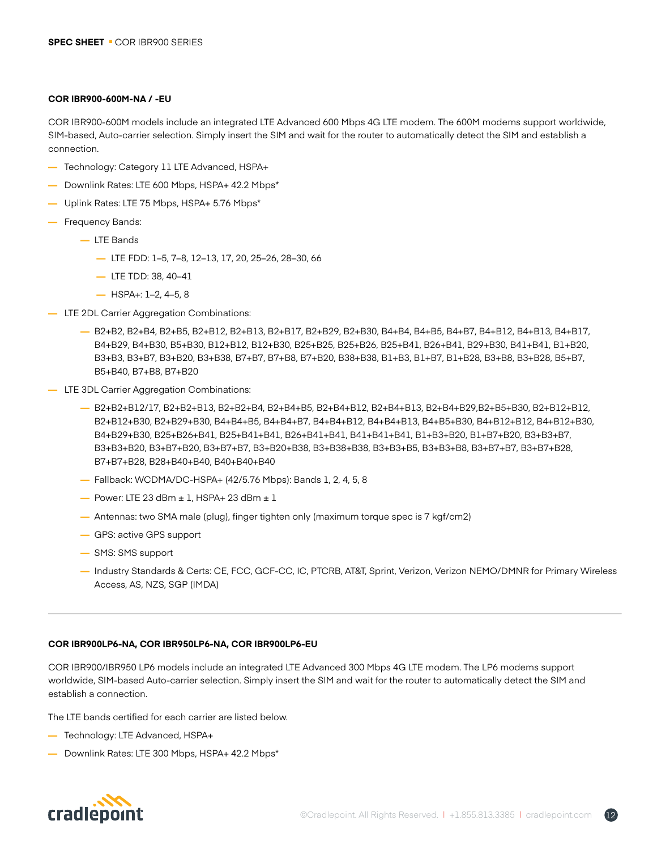#### **COR IBR900-600M-NA / -EU**

COR IBR900-600M models include an integrated LTE Advanced 600 Mbps 4G LTE modem. The 600M modems support worldwide, SIM-based, Auto-carrier selection. Simply insert the SIM and wait for the router to automatically detect the SIM and establish a connection.

- **—** Technology: Category 11 LTE Advanced, HSPA+
- **—** Downlink Rates: LTE 600 Mbps, HSPA+ 42.2 Mbps\*
- **—** Uplink Rates: LTE 75 Mbps, HSPA+ 5.76 Mbps\*
- **—** Frequency Bands:
	- **—** LTE Bands
		- **—** LTE FDD: 1–5, 7–8, 12–13, 17, 20, 25–26, 28–30, 66
		- **—** LTE TDD: 38, 40–41
		- **—** HSPA+: 1–2, 4–5, 8
- **—** LTE 2DL Carrier Aggregation Combinations:
	- **—** B2+B2, B2+B4, B2+B5, B2+B12, B2+B13, B2+B17, B2+B29, B2+B30, B4+B4, B4+B5, B4+B7, B4+B12, B4+B13, B4+B17, B4+B29, B4+B30, B5+B30, B12+B12, B12+B30, B25+B25, B25+B26, B25+B41, B26+B41, B29+B30, B41+B41, B1+B20, B3+B3, B3+B7, B3+B20, B3+B38, B7+B7, B7+B8, B7+B20, B38+B38, B1+B3, B1+B7, B1+B28, B3+B8, B3+B28, B5+B7, B5+B40, B7+B8, B7+B20
- **—** LTE 3DL Carrier Aggregation Combinations:
	- **—** B2+B2+B12/17, B2+B2+B13, B2+B2+B4, B2+B4+B5, B2+B4+B12, B2+B4+B13, B2+B4+B29,B2+B5+B30, B2+B12+B12, B2+B12+B30, B2+B29+B30, B4+B4+B5, B4+B4+B7, B4+B4+B12, B4+B4+B13, B4+B5+B30, B4+B12+B12, B4+B12+B30, B4+B29+B30, B25+B26+B41, B25+B41+B41, B26+B41+B41, B41+B41+B41, B1+B3+B20, B1+B7+B20, B3+B3+B7, B3+B3+B20, B3+B7+B20, B3+B7+B7, B3+B20+B38, B3+B38+B38, B3+B3+B5, B3+B3+B8, B3+B7+B7, B3+B7+B28, B7+B7+B28, B28+B40+B40, B40+B40+B40
	- **—** Fallback: WCDMA/DC-HSPA+ (42/5.76 Mbps): Bands 1, 2, 4, 5, 8
	- **—** Power: LTE 23 dBm ± 1, HSPA+ 23 dBm ± 1
	- **—** Antennas: two SMA male (plug), finger tighten only (maximum torque spec is 7 kgf/cm2)
	- **—** GPS: active GPS support
	- **—** SMS: SMS support
	- **—** Industry Standards & Certs: CE, FCC, GCF-CC, IC, PTCRB, AT&T, Sprint, Verizon, Verizon NEMO/DMNR for Primary Wireless Access, AS, NZS, SGP (IMDA)

### **COR IBR900LP6-NA, COR IBR950LP6-NA, COR IBR900LP6-EU**

COR IBR900/IBR950 LP6 models include an integrated LTE Advanced 300 Mbps 4G LTE modem. The LP6 modems support worldwide, SIM-based Auto-carrier selection. Simply insert the SIM and wait for the router to automatically detect the SIM and establish a connection.

The LTE bands certified for each carrier are listed below.

- **—** Technology: LTE Advanced, HSPA+
- **—** Downlink Rates: LTE 300 Mbps, HSPA+ 42.2 Mbps\*

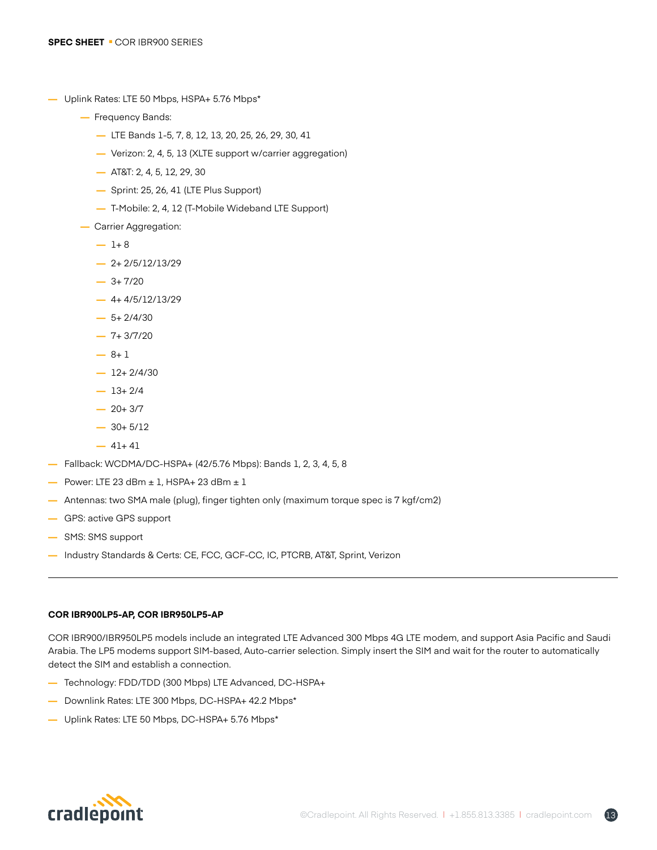- **—** Uplink Rates: LTE 50 Mbps, HSPA+ 5.76 Mbps\*
	- **—** Frequency Bands:
		- **—** LTE Bands 1-5, 7, 8, 12, 13, 20, 25, 26, 29, 30, 41
		- **—** Verizon: 2, 4, 5, 13 (XLTE support w/carrier aggregation)
		- **—** AT&T: 2, 4, 5, 12, 29, 30
		- **—** Sprint: 25, 26, 41 (LTE Plus Support)
		- **—** T-Mobile: 2, 4, 12 (T-Mobile Wideband LTE Support)
	- **—** Carrier Aggregation:
		- $-1+8$
		- **—** 2+ 2/5/12/13/29
		- **—** 3+ 7/20
		- **—** 4+ 4/5/12/13/29
		- $-5+2/4/30$
		- **—** 7+ 3/7/20
		- **—** 8+ 1
		- **—** 12+ 2/4/30
		- **—** 13+ 2/4
		- **—** 20+ 3/7
		- **—** 30+ 5/12
		- **—** 41+ 41
- **—** Fallback: WCDMA/DC-HSPA+ (42/5.76 Mbps): Bands 1, 2, 3, 4, 5, 8
- **—** Power: LTE 23 dBm ± 1, HSPA+ 23 dBm ± 1
- **—** Antennas: two SMA male (plug), finger tighten only (maximum torque spec is 7 kgf/cm2)
- **—** GPS: active GPS support
- **—** SMS: SMS support
- **—** Industry Standards & Certs: CE, FCC, GCF-CC, IC, PTCRB, AT&T, Sprint, Verizon

### **COR IBR900LP5-AP, COR IBR950LP5-AP**

COR IBR900/IBR950LP5 models include an integrated LTE Advanced 300 Mbps 4G LTE modem, and support Asia Pacific and Saudi Arabia. The LP5 modems support SIM-based, Auto-carrier selection. Simply insert the SIM and wait for the router to automatically detect the SIM and establish a connection.

- **—** Technology: FDD/TDD (300 Mbps) LTE Advanced, DC-HSPA+
- **—** Downlink Rates: LTE 300 Mbps, DC-HSPA+ 42.2 Mbps\*
- **—** Uplink Rates: LTE 50 Mbps, DC-HSPA+ 5.76 Mbps\*

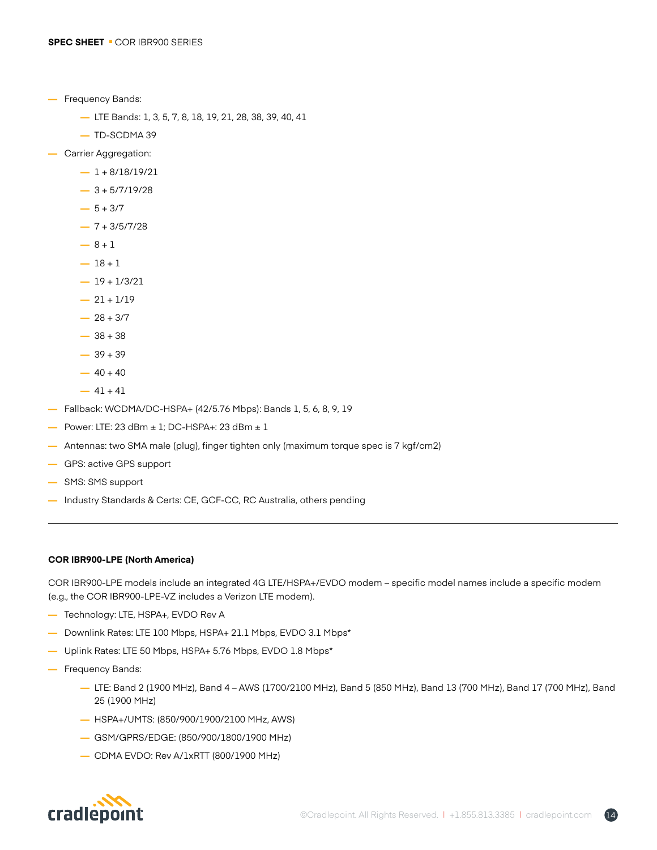- **—** Frequency Bands:
	- **—** LTE Bands: 1, 3, 5, 7, 8, 18, 19, 21, 28, 38, 39, 40, 41
	- **—** TD-SCDMA 39
- **—** Carrier Aggregation:
	- **—** 1 + 8/18/19/21
	- **—** 3 + 5/7/19/28
	- $-5 + 3/7$
	- **—** 7 + 3/5/7/28
	- $-8 + 1$
	- $-18 + 1$
	- **—** 19 + 1/3/21
	- $-21 + 1/19$
	- $-28 + 3/7$
	- **—** 38 + 38
	- $-39 + 39$
	- $-40 + 40$
	- $-41 + 41$
- **—** Fallback: WCDMA/DC-HSPA+ (42/5.76 Mbps): Bands 1, 5, 6, 8, 9, 19
- **—** Power: LTE: 23 dBm ± 1; DC-HSPA+: 23 dBm ± 1
- **—** Antennas: two SMA male (plug), finger tighten only (maximum torque spec is 7 kgf/cm2)
- **—** GPS: active GPS support
- **—** SMS: SMS support
- **—** Industry Standards & Certs: CE, GCF-CC, RC Australia, others pending

### **COR IBR900-LPE (North America)**

COR IBR900-LPE models include an integrated 4G LTE/HSPA+/EVDO modem – specific model names include a specific modem (e.g., the COR IBR900-LPE-VZ includes a Verizon LTE modem).

- **—** Technology: LTE, HSPA+, EVDO Rev A
- **—** Downlink Rates: LTE 100 Mbps, HSPA+ 21.1 Mbps, EVDO 3.1 Mbps\*
- **—** Uplink Rates: LTE 50 Mbps, HSPA+ 5.76 Mbps, EVDO 1.8 Mbps\*
- **—** Frequency Bands:
	- **—** LTE: Band 2 (1900 MHz), Band 4 AWS (1700/2100 MHz), Band 5 (850 MHz), Band 13 (700 MHz), Band 17 (700 MHz), Band 25 (1900 MHz)
	- **—** HSPA+/UMTS: (850/900/1900/2100 MHz, AWS)
	- **—** GSM/GPRS/EDGE: (850/900/1800/1900 MHz)
	- **—** CDMA EVDO: Rev A/1xRTT (800/1900 MHz)



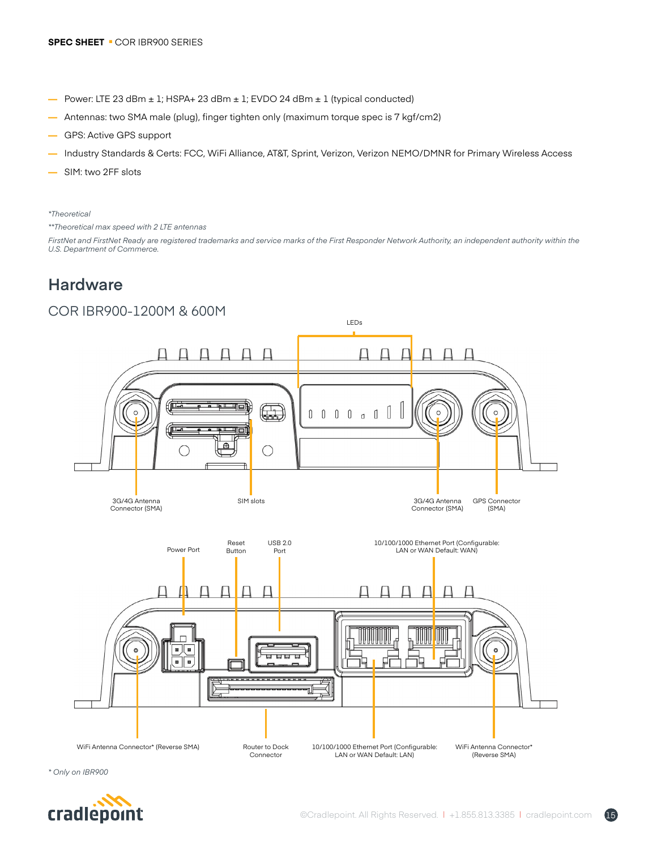- **—** Power: LTE 23 dBm ± 1; HSPA+ 23 dBm ± 1; EVDO 24 dBm ± 1 (typical conducted)
- **—** Antennas: two SMA male (plug), finger tighten only (maximum torque spec is 7 kgf/cm2)
- **—** GPS: Active GPS support
- **—** Industry Standards & Certs: FCC, WiFi Alliance, AT&T, Sprint, Verizon, Verizon NEMO/DMNR for Primary Wireless Access
- **—** SIM: two 2FF slots

#### *\*Theoretical*

*\*\*Theoretical max speed with 2 LTE antennas*

FirstNet and FirstNet Ready are registered trademarks and service marks of the First Responder Network Authority, an independent authority within the *U.S. Department of Commerce.*

## **Hardware**

### COR IBR900-1200M & 600M



*\* Only on IBR900*